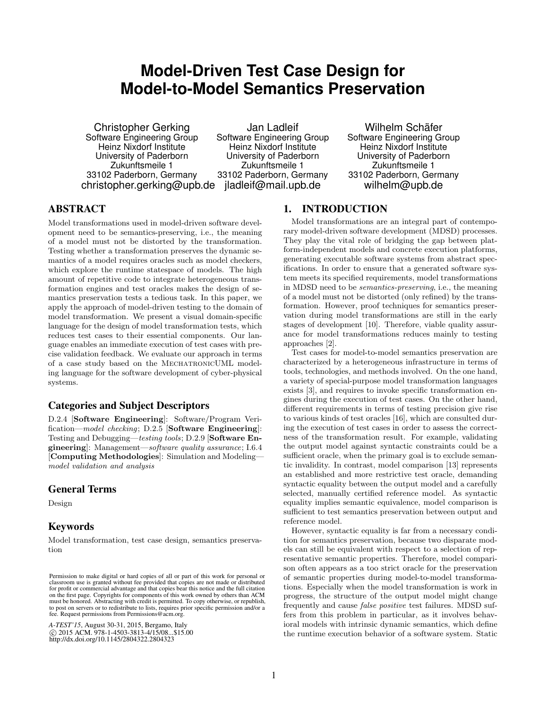# **Model-Driven Test Case Design for Model-to-Model Semantics Preservation**

Christopher Gerking Software Engineering Group Heinz Nixdorf Institute University of Paderborn Zukunftsmeile 1 33102 Paderborn, Germany

christopher.gerking@upb.de jladleif@mail.upb.de Jan Ladleif Software Engineering Group Heinz Nixdorf Institute University of Paderborn Zukunftsmeile 1 33102 Paderborn, Germany

Wilhelm Schäfer Software Engineering Group Heinz Nixdorf Institute University of Paderborn Zukunftsmeile 1 33102 Paderborn, Germany wilhelm@upb.de

# ABSTRACT

Model transformations used in model-driven software development need to be semantics-preserving, i.e., the meaning of a model must not be distorted by the transformation. Testing whether a transformation preserves the dynamic semantics of a model requires oracles such as model checkers, which explore the runtime statespace of models. The high amount of repetitive code to integrate heterogeneous transformation engines and test oracles makes the design of semantics preservation tests a tedious task. In this paper, we apply the approach of model-driven testing to the domain of model transformation. We present a visual domain-specific language for the design of model transformation tests, which reduces test cases to their essential components. Our language enables an immediate execution of test cases with precise validation feedback. We evaluate our approach in terms of a case study based on the MechatronicUML modeling language for the software development of cyber-physical systems.

# Categories and Subject Descriptors

D.2.4 [Software Engineering]: Software/Program Verification—model checking; D.2.5 [Software Engineering]: Testing and Debugging—testing tools; D.2.9 [Software Engineering]: Management—software quality assurance; I.6.4 [Computing Methodologies]: Simulation and Modeling model validation and analysis

# General Terms

Design

# Keywords

Model transformation, test case design, semantics preservation

*A-TEST'15*, August 30-31, 2015, Bergamo, Italy c 2015 ACM. 978-1-4503-3813-4/15/08...\$15.00 http://dx.doi.org/10.1145/2804322.2804323

# 1. INTRODUCTION

Model transformations are an integral part of contemporary model-driven software development (MDSD) processes. They play the vital role of bridging the gap between platform-independent models and concrete execution platforms, generating executable software systems from abstract specifications. In order to ensure that a generated software system meets its specified requirements, model transformations in MDSD need to be semantics-preserving, i.e., the meaning of a model must not be distorted (only refined) by the transformation. However, proof techniques for semantics preservation during model transformations are still in the early stages of development [\[10\]](#page-5-0). Therefore, viable quality assurance for model transformations reduces mainly to testing approaches [\[2\]](#page-5-1).

Test cases for model-to-model semantics preservation are characterized by a heterogeneous infrastructure in terms of tools, technologies, and methods involved. On the one hand, a variety of special-purpose model transformation languages exists [\[3\]](#page-5-2), and requires to invoke specific transformation engines during the execution of test cases. On the other hand, different requirements in terms of testing precision give rise to various kinds of test oracles [\[16\]](#page-5-3), which are consulted during the execution of test cases in order to assess the correctness of the transformation result. For example, validating the output model against syntactic constraints could be a sufficient oracle, when the primary goal is to exclude semantic invalidity. In contrast, model comparison [\[13\]](#page-5-4) represents an established and more restrictive test oracle, demanding syntactic equality between the output model and a carefully selected, manually certified reference model. As syntactic equality implies semantic equivalence, model comparison is sufficient to test semantics preservation between output and reference model.

However, syntactic equality is far from a necessary condition for semantics preservation, because two disparate models can still be equivalent with respect to a selection of representative semantic properties. Therefore, model comparison often appears as a too strict oracle for the preservation of semantic properties during model-to-model transformations. Especially when the model transformation is work in progress, the structure of the output model might change frequently and cause false positive test failures. MDSD suffers from this problem in particular, as it involves behavioral models with intrinsic dynamic semantics, which define the runtime execution behavior of a software system. Static

Permission to make digital or hard copies of all or part of this work for personal or classroom use is granted without fee provided that copies are not made or distributed for profit or commercial advantage and that copies bear this notice and the full citation on the first page. Copyrights for components of this work owned by others than ACM must be honored. Abstracting with credit is permitted. To copy otherwise, or republish, to post on servers or to redistribute to lists, requires prior specific permission and/or a fee. Request permissions from Permissions@acm.org.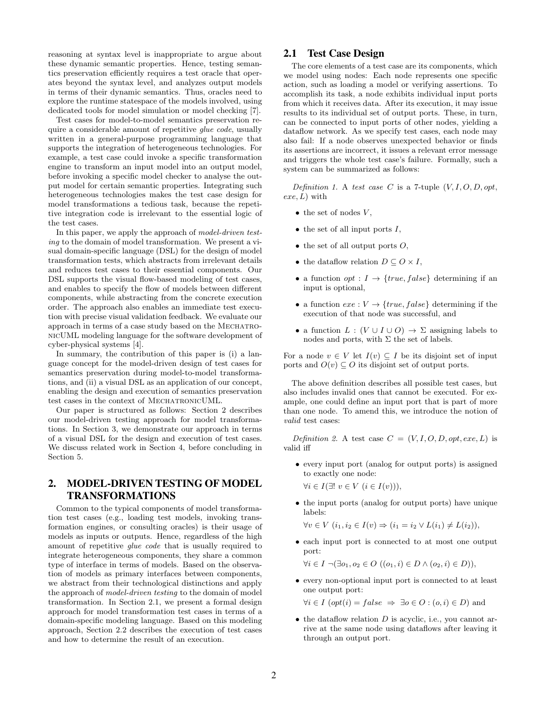reasoning at syntax level is inappropriate to argue about these dynamic semantic properties. Hence, testing semantics preservation efficiently requires a test oracle that operates beyond the syntax level, and analyzes output models in terms of their dynamic semantics. Thus, oracles need to explore the runtime statespace of the models involved, using dedicated tools for model simulation or model checking [\[7\]](#page-5-5).

Test cases for model-to-model semantics preservation require a considerable amount of repetitive *glue code*, usually written in a general-purpose programming language that supports the integration of heterogeneous technologies. For example, a test case could invoke a specific transformation engine to transform an input model into an output model, before invoking a specific model checker to analyse the output model for certain semantic properties. Integrating such heterogeneous technologies makes the test case design for model transformations a tedious task, because the repetitive integration code is irrelevant to the essential logic of the test cases.

In this paper, we apply the approach of model-driven testing to the domain of model transformation. We present a visual domain-specific language (DSL) for the design of model transformation tests, which abstracts from irrelevant details and reduces test cases to their essential components. Our DSL supports the visual flow-based modeling of test cases, and enables to specify the flow of models between different components, while abstracting from the concrete execution order. The approach also enables an immediate test execution with precise visual validation feedback. We evaluate our approach in terms of a case study based on the MECHATROnicUML modeling language for the software development of cyber-physical systems [\[4\]](#page-5-6).

In summary, the contribution of this paper is (i) a language concept for the model-driven design of test cases for semantics preservation during model-to-model transformations, and (ii) a visual DSL as an application of our concept, enabling the design and execution of semantics preservation test cases in the context of MECHATRONICUML.

Our paper is structured as follows: Section [2](#page-1-0) describes our model-driven testing approach for model transformations. In Section [3,](#page-2-0) we demonstrate our approach in terms of a visual DSL for the design and execution of test cases. We discuss related work in Section [4,](#page-4-0) before concluding in Section [5.](#page-4-1)

# <span id="page-1-0"></span>2. MODEL-DRIVEN TESTING OF MODEL TRANSFORMATIONS

Common to the typical components of model transformation test cases (e.g., loading test models, invoking transformation engines, or consulting oracles) is their usage of models as inputs or outputs. Hence, regardless of the high amount of repetitive glue code that is usually required to integrate heterogeneous components, they share a common type of interface in terms of models. Based on the observation of models as primary interfaces between components, we abstract from their technological distinctions and apply the approach of model-driven testing to the domain of model transformation. In Section [2.1,](#page-1-1) we present a formal design approach for model transformation test cases in terms of a domain-specific modeling language. Based on this modeling approach, Section [2.2](#page-2-1) describes the execution of test cases and how to determine the result of an execution.

## <span id="page-1-1"></span>2.1 Test Case Design

The core elements of a test case are its components, which we model using nodes: Each node represents one specific action, such as loading a model or verifying assertions. To accomplish its task, a node exhibits individual input ports from which it receives data. After its execution, it may issue results to its individual set of output ports. These, in turn, can be connected to input ports of other nodes, yielding a dataflow network. As we specify test cases, each node may also fail: If a node observes unexpected behavior or finds its assertions are incorrect, it issues a relevant error message and triggers the whole test case's failure. Formally, such a system can be summarized as follows:

Definition 1. A test case C is a 7-tuple  $(V, I, O, D, opt,$  $exe, L)$  with

- $\bullet$  the set of nodes  $V$ ,
- $\bullet$  the set of all input ports  $I$ ,
- $\bullet$  the set of all output ports  $O$ ,
- the dataflow relation  $D \subseteq O \times I$ ,
- a function  $opt: I \rightarrow \{true, false\}$  determining if an input is optional,
- a function  $exe : V \rightarrow \{true, false\}$  determining if the execution of that node was successful, and
- a function  $L : (V \cup I \cup O) \rightarrow \Sigma$  assigning labels to nodes and ports, with  $\Sigma$  the set of labels.

For a node  $v \in V$  let  $I(v) \subseteq I$  be its disjoint set of input ports and  $O(v) \subseteq O$  its disjoint set of output ports.

The above definition describes all possible test cases, but also includes invalid ones that cannot be executed. For example, one could define an input port that is part of more than one node. To amend this, we introduce the notion of valid test cases:

<span id="page-1-2"></span>Definition 2. A test case  $C = (V, I, O, D, opt, exc, L)$  is valid iff

• every input port (analog for output ports) is assigned to exactly one node:

 $\forall i \in I(\exists! v \in V \ (i \in I(v))),$ 

• the input ports (analog for output ports) have unique labels:

 $\forall v \in V \ (i_1, i_2 \in I(v) \Rightarrow (i_1 = i_2 \vee L(i_1) \neq L(i_2)),$ 

• each input port is connected to at most one output port:

 $\forall i \in I \ \neg (\exists o_1, o_2 \in O \ ((o_1, i) \in D \land (o_2, i) \in D)),$ 

• every non-optional input port is connected to at least one output port:

 $\forall i \in I$  (opt(i) = false  $\Rightarrow \exists o \in O : (o, i) \in D$ ) and

 $\bullet$  the dataflow relation  $D$  is acyclic, i.e., you cannot arrive at the same node using dataflows after leaving it through an output port.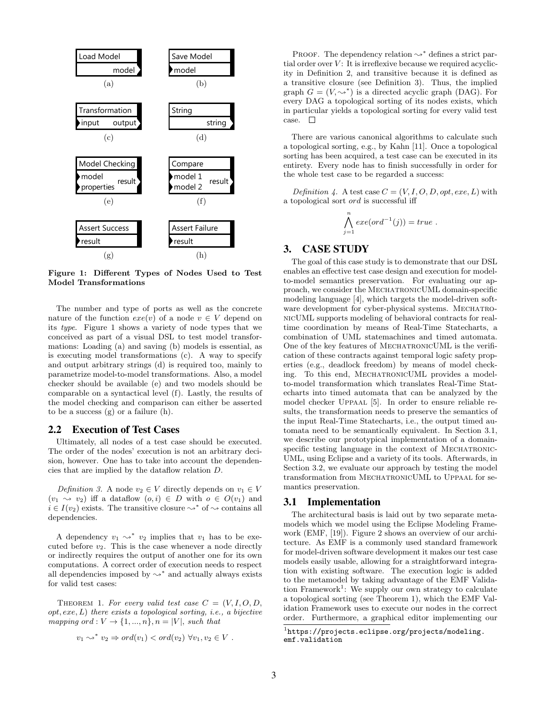

<span id="page-2-2"></span>Figure 1: Different Types of Nodes Used to Test Model Transformations

The number and type of ports as well as the concrete nature of the function  $exe(v)$  of a node  $v \in V$  depend on its type. Figure [1](#page-2-2) shows a variety of node types that we conceived as part of a visual DSL to test model transformations: Loading (a) and saving (b) models is essential, as is executing model transformations (c). A way to specify and output arbitrary strings (d) is required too, mainly to parametrize model-to-model transformations. Also, a model checker should be available (e) and two models should be comparable on a syntactical level (f). Lastly, the results of the model checking and comparison can either be asserted to be a success (g) or a failure (h).

#### <span id="page-2-1"></span>2.2 Execution of Test Cases

Ultimately, all nodes of a test case should be executed. The order of the nodes' execution is not an arbitrary decision, however. One has to take into account the dependencies that are implied by the dataflow relation D.

<span id="page-2-3"></span>Definition 3. A node  $v_2 \in V$  directly depends on  $v_1 \in V$  $(v_1 \rightsquigarrow v_2)$  iff a dataflow  $(o, i) \in D$  with  $o \in O(v_1)$  and  $i \in I(v_2)$  exists. The transitive closure  $\leadsto^*$  of  $\leadsto$  contains all dependencies.

A dependency  $v_1 \leadsto^* v_2$  implies that  $v_1$  has to be executed before  $v_2$ . This is the case whenever a node directly or indirectly requires the output of another one for its own computations. A correct order of execution needs to respect all dependencies imposed by  $\sim^*$  and actually always exists for valid test cases:

<span id="page-2-6"></span>THEOREM 1. For every valid test case  $C = (V, I, O, D, \mathcal{L})$  $opt,exe, L)$  there exists a topological sorting, i.e., a bijective mapping ord :  $V \rightarrow \{1, ..., n\}, n = |V|$ , such that

$$
v_1 \rightsquigarrow^* v_2 \Rightarrow \text{ord}(v_1) < \text{ord}(v_2) \,\,\forall v_1, v_2 \in V \,.
$$

PROOF. The dependency relation  $\rightsquigarrow^*$  defines a strict partial order over  $V$ : It is irreflexive because we required acyclicity in Definition [2,](#page-1-2) and transitive because it is defined as a transitive closure (see Definition [3\)](#page-2-3). Thus, the implied graph  $G = (V, \rightsquigarrow^*)$  is a directed acyclic graph (DAG). For every DAG a topological sorting of its nodes exists, which in particular yields a topological sorting for every valid test case.  $\square$ 

There are various canonical algorithms to calculate such a topological sorting, e.g., by Kahn [\[11\]](#page-5-7). Once a topological sorting has been acquired, a test case can be executed in its entirety. Every node has to finish successfully in order for the whole test case to be regarded a success:

Definition 4. A test case  $C = (V, I, O, D, opt, exe, L)$  with a topological sort ord is successful iff

$$
\bigwedge_{j=1}^n \operatorname{exe}(\operatorname{ord}^{-1}(j)) = \operatorname{true}.
$$

## <span id="page-2-0"></span>3. CASE STUDY

The goal of this case study is to demonstrate that our DSL enables an effective test case design and execution for modelto-model semantics preservation. For evaluating our approach, we consider the MechatronicUML domain-specific modeling language [\[4\]](#page-5-6), which targets the model-driven software development for cyber-physical systems. MECHATROnicUML supports modeling of behavioral contracts for realtime coordination by means of Real-Time Statecharts, a combination of UML statemachines and timed automata. One of the key features of MECHATRONICUML is the verification of these contracts against temporal logic safety properties (e.g., deadlock freedom) by means of model checking. To this end, MechatronicUML provides a modelto-model transformation which translates Real-Time Statecharts into timed automata that can be analyzed by the model checker Uppaal [\[5\]](#page-5-8). In order to ensure reliable results, the transformation needs to preserve the semantics of the input Real-Time Statecharts, i.e., the output timed automata need to be semantically equivalent. In Section [3.1,](#page-2-4) we describe our prototypical implementation of a domainspecific testing language in the context of MECHATRONIC-UML, using Eclipse and a variety of its tools. Afterwards, in Section [3.2,](#page-3-0) we evaluate our approach by testing the model transformation from MechatronicUML to Uppaal for semantics preservation.

#### <span id="page-2-4"></span>3.1 Implementation

The architectural basis is laid out by two separate metamodels which we model using the Eclipse Modeling Framework (EMF, [\[19\]](#page-6-0)). Figure [2](#page-3-1) shows an overview of our architecture. As EMF is a commonly used standard framework for model-driven software development it makes our test case models easily usable, allowing for a straightforward integration with existing software. The execution logic is added to the metamodel by taking advantage of the EMF Valida-tion Framework<sup>[1](#page-2-5)</sup>: We supply our own strategy to calculate a topological sorting (see Theorem [1\)](#page-2-6), which the EMF Validation Framework uses to execute our nodes in the correct order. Furthermore, a graphical editor implementing our

<span id="page-2-5"></span> $^1$ [https://projects.eclipse.org/projects/modeling.](https://projects.eclipse.org/projects/modeling.emf.validation) [emf.validation](https://projects.eclipse.org/projects/modeling.emf.validation)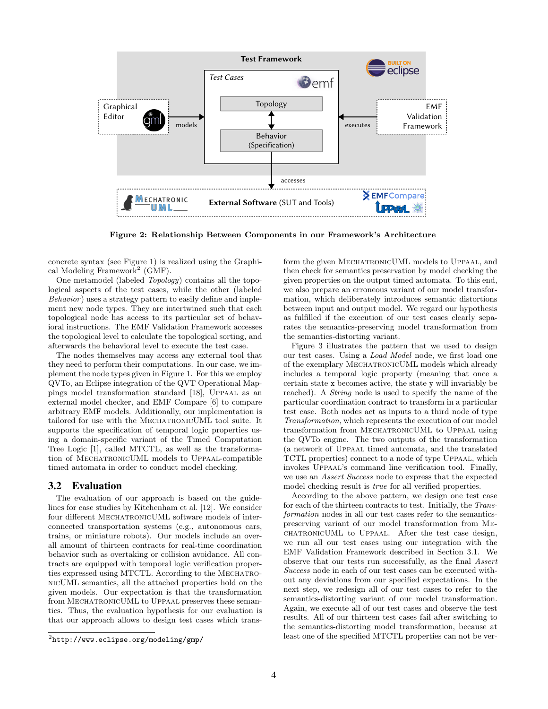

<span id="page-3-1"></span>Figure 2: Relationship Between Components in our Framework's Architecture

concrete syntax (see Figure [1\)](#page-2-2) is realized using the Graphi-cal Modeling Framework<sup>[2](#page-3-2)</sup> (GMF).

One metamodel (labeled Topology) contains all the topological aspects of the test cases, while the other (labeled Behavior) uses a strategy pattern to easily define and implement new node types. They are intertwined such that each topological node has access to its particular set of behavioral instructions. The EMF Validation Framework accesses the topological level to calculate the topological sorting, and afterwards the behavioral level to execute the test case.

The nodes themselves may access any external tool that they need to perform their computations. In our case, we implement the node types given in Figure [1.](#page-2-2) For this we employ QVTo, an Eclipse integration of the QVT Operational Mappings model transformation standard [\[18\]](#page-6-1), Uppaal as an external model checker, and EMF Compare [\[6\]](#page-5-9) to compare arbitrary EMF models. Additionally, our implementation is tailored for use with the MechatronicUML tool suite. It supports the specification of temporal logic properties using a domain-specific variant of the Timed Computation Tree Logic [\[1\]](#page-5-10), called MTCTL, as well as the transformation of MechatronicUML models to Uppaal-compatible timed automata in order to conduct model checking.

## <span id="page-3-0"></span>3.2 Evaluation

The evaluation of our approach is based on the guidelines for case studies by Kitchenham et al. [\[12\]](#page-5-11). We consider four different MechatronicUML software models of interconnected transportation systems (e.g., autonomous cars, trains, or miniature robots). Our models include an overall amount of thirteen contracts for real-time coordination behavior such as overtaking or collision avoidance. All contracts are equipped with temporal logic verification properties expressed using MTCTL. According to the MechatronicUML semantics, all the attached properties hold on the given models. Our expectation is that the transformation from MECHATRONICUML to UPPAAL preserves these semantics. Thus, the evaluation hypothesis for our evaluation is that our approach allows to design test cases which transform the given MECHATRONICUML models to UPPAAL, and then check for semantics preservation by model checking the given properties on the output timed automata. To this end, we also prepare an erroneous variant of our model transformation, which deliberately introduces semantic distortions between input and output model. We regard our hypothesis as fulfilled if the execution of our test cases clearly separates the semantics-preserving model transformation from the semantics-distorting variant.

Figure [3](#page-4-2) illustrates the pattern that we used to design our test cases. Using a Load Model node, we first load one of the exemplary MechatronicUML models which already includes a temporal logic property (meaning that once a certain state x becomes active, the state y will invariably be reached). A String node is used to specify the name of the particular coordination contract to transform in a particular test case. Both nodes act as inputs to a third node of type Transformation, which represents the execution of our model transformation from MechatronicUML to Uppaal using the QVTo engine. The two outputs of the transformation (a network of Uppaal timed automata, and the translated TCTL properties) connect to a node of type Uppaal, which invokes Uppaal's command line verification tool. Finally, we use an Assert Success node to express that the expected model checking result is true for all verified properties.

According to the above pattern, we design one test case for each of the thirteen contracts to test. Initially, the Transformation nodes in all our test cases refer to the semanticspreserving variant of our model transformation from MechatronicUML to Uppaal. After the test case design, we run all our test cases using our integration with the EMF Validation Framework described in Section [3.1.](#page-2-4) We observe that our tests run successfully, as the final Assert Success node in each of our test cases can be executed without any deviations from our specified expectations. In the next step, we redesign all of our test cases to refer to the semantics-distorting variant of our model transformation. Again, we execute all of our test cases and observe the test results. All of our thirteen test cases fail after switching to the semantics-distorting model transformation, because at least one of the specified MTCTL properties can not be ver-

<span id="page-3-2"></span> $^{2}$ <http://www.eclipse.org/modeling/gmp/>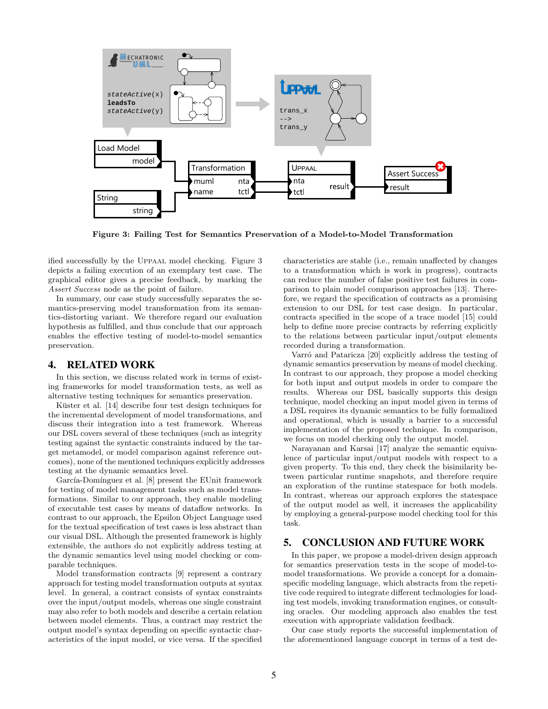

<span id="page-4-2"></span>Figure 3: Failing Test for Semantics Preservation of a Model-to-Model Transformation

ified successfully by the Uppaal model checking. Figure [3](#page-4-2) depicts a failing execution of an exemplary test case. The graphical editor gives a precise feedback, by marking the Assert Success node as the point of failure.

In summary, our case study successfully separates the semantics-preserving model transformation from its semantics-distorting variant. We therefore regard our evaluation hypothesis as fulfilled, and thus conclude that our approach enables the effective testing of model-to-model semantics preservation.

# <span id="page-4-0"></span>4. RELATED WORK

In this section, we discuss related work in terms of existing frameworks for model transformation tests, as well as alternative testing techniques for semantics preservation.

Küster et al. [\[14\]](#page-5-12) describe four test design techniques for the incremental development of model transformations, and discuss their integration into a test framework. Whereas our DSL covers several of these techniques (such as integrity testing against the syntactic constraints induced by the target metamodel, or model comparison against reference outcomes), none of the mentioned techniques explicitly addresses testing at the dynamic semantics level.

García-Domínguez et al. [\[8\]](#page-5-13) present the EUnit framework for testing of model management tasks such as model transformations. Similar to our approach, they enable modeling of executable test cases by means of dataflow networks. In contrast to our approach, the Epsilon Object Language used for the textual specification of test cases is less abstract than our visual DSL. Although the presented framework is highly extensible, the authors do not explicitly address testing at the dynamic semantics level using model checking or comparable techniques.

Model transformation contracts [\[9\]](#page-5-14) represent a contrary approach for testing model transformation outputs at syntax level. In general, a contract consists of syntax constraints over the input/output models, whereas one single constraint may also refer to both models and describe a certain relation between model elements. Thus, a contract may restrict the output model's syntax depending on specific syntactic characteristics of the input model, or vice versa. If the specified

characteristics are stable (i.e., remain unaffected by changes to a transformation which is work in progress), contracts can reduce the number of false positive test failures in comparison to plain model comparison approaches [\[13\]](#page-5-4). Therefore, we regard the specification of contracts as a promising extension to our DSL for test case design. In particular, contracts specified in the scope of a trace model [\[15\]](#page-5-15) could help to define more precise contracts by referring explicitly to the relations between particular input/output elements recorded during a transformation.

Varró and Pataricza [\[20\]](#page-6-2) explicitly address the testing of dynamic semantics preservation by means of model checking. In contrast to our approach, they propose a model checking for both input and output models in order to compare the results. Whereas our DSL basically supports this design technique, model checking an input model given in terms of a DSL requires its dynamic semantics to be fully formalized and operational, which is usually a barrier to a successful implementation of the proposed technique. In comparison, we focus on model checking only the output model.

Narayanan and Karsai [\[17\]](#page-6-3) analyze the semantic equivalence of particular input/output models with respect to a given property. To this end, they check the bisimilarity between particular runtime snapshots, and therefore require an exploration of the runtime statespace for both models. In contrast, whereas our approach explores the statespace of the output model as well, it increases the applicability by employing a general-purpose model checking tool for this task.

## <span id="page-4-1"></span>5. CONCLUSION AND FUTURE WORK

In this paper, we propose a model-driven design approach for semantics preservation tests in the scope of model-tomodel transformations. We provide a concept for a domainspecific modeling language, which abstracts from the repetitive code required to integrate different technologies for loading test models, invoking transformation engines, or consulting oracles. Our modeling approach also enables the test execution with appropriate validation feedback.

Our case study reports the successful implementation of the aforementioned language concept in terms of a test de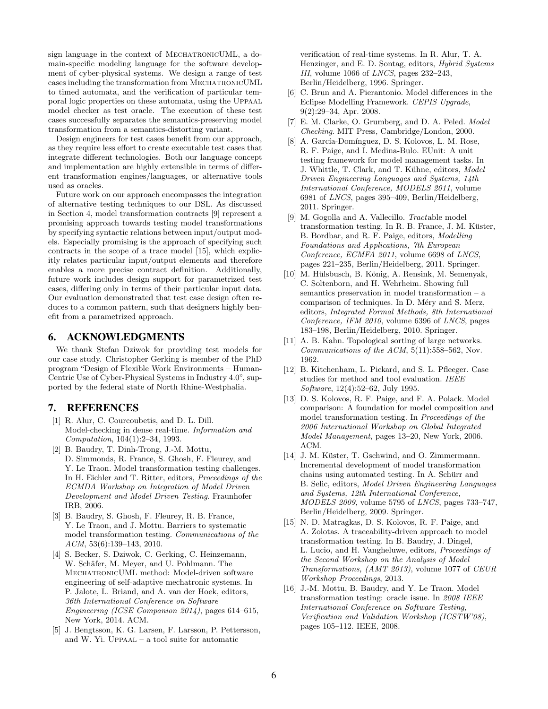sign language in the context of MECHATRONICUML, a domain-specific modeling language for the software development of cyber-physical systems. We design a range of test cases including the transformation from MechatronicUML to timed automata, and the verification of particular temporal logic properties on these automata, using the Uppaal model checker as test oracle. The execution of these test cases successfully separates the semantics-preserving model transformation from a semantics-distorting variant.

Design engineers for test cases benefit from our approach, as they require less effort to create executable test cases that integrate different technologies. Both our language concept and implementation are highly extensible in terms of different transformation engines/languages, or alternative tools used as oracles.

Future work on our approach encompasses the integration of alternative testing techniques to our DSL. As discussed in Section [4,](#page-4-0) model transformation contracts [\[9\]](#page-5-14) represent a promising approach towards testing model transformations by specifying syntactic relations between input/output models. Especially promising is the approach of specifying such contracts in the scope of a trace model [\[15\]](#page-5-15), which explicitly relates particular input/output elements and therefore enables a more precise contract definition. Additionally, future work includes design support for parametrized test cases, differing only in terms of their particular input data. Our evaluation demonstrated that test case design often reduces to a common pattern, such that designers highly benefit from a parametrized approach.

## 6. ACKNOWLEDGMENTS

We thank Stefan Dziwok for providing test models for our case study. Christopher Gerking is member of the PhD program "Design of Flexible Work Environments – Human-Centric Use of Cyber-Physical Systems in Industry 4.0", supported by the federal state of North Rhine-Westphalia.

## 7. REFERENCES

- <span id="page-5-10"></span>[1] R. Alur, C. Courcoubetis, and D. L. Dill. Model-checking in dense real-time. Information and Computation, 104(1):2–34, 1993.
- <span id="page-5-1"></span>[2] B. Baudry, T. Dinh-Trong, J.-M. Mottu, D. Simmonds, R. France, S. Ghosh, F. Fleurey, and Y. Le Traon. Model transformation testing challenges. In H. Eichler and T. Ritter, editors, Proceedings of the ECMDA Workshop on Integration of Model Driven Development and Model Driven Testing. Fraunhofer IRB, 2006.
- <span id="page-5-2"></span>[3] B. Baudry, S. Ghosh, F. Fleurey, R. B. France, Y. Le Traon, and J. Mottu. Barriers to systematic model transformation testing. Communications of the ACM, 53(6):139–143, 2010.
- <span id="page-5-6"></span>[4] S. Becker, S. Dziwok, C. Gerking, C. Heinzemann, W. Schäfer, M. Meyer, and U. Pohlmann. The MechatronicUML method: Model-driven software engineering of self-adaptive mechatronic systems. In P. Jalote, L. Briand, and A. van der Hoek, editors, 36th International Conference on Software Engineering (ICSE Companion 2014), pages 614–615, New York, 2014. ACM.
- <span id="page-5-8"></span>[5] J. Bengtsson, K. G. Larsen, F. Larsson, P. Pettersson, and W. Yi. Uppaal – a tool suite for automatic

verification of real-time systems. In R. Alur, T. A. Henzinger, and E. D. Sontag, editors, Hybrid Systems III, volume 1066 of LNCS, pages 232–243, Berlin/Heidelberg, 1996. Springer.

- <span id="page-5-9"></span>[6] C. Brun and A. Pierantonio. Model differences in the Eclipse Modelling Framework. CEPIS Upgrade, 9(2):29–34, Apr. 2008.
- <span id="page-5-5"></span>[7] E. M. Clarke, O. Grumberg, and D. A. Peled. Model Checking. MIT Press, Cambridge/London, 2000.
- <span id="page-5-13"></span>[8] A. García-Domínguez, D. S. Kolovos, L. M. Rose, R. F. Paige, and I. Medina-Bulo. EUnit: A unit testing framework for model management tasks. In J. Whittle, T. Clark, and T. Kühne, editors, *Model* Driven Engineering Languages and Systems, 14th International Conference, MODELS 2011, volume 6981 of LNCS, pages 395–409, Berlin/Heidelberg, 2011. Springer.
- <span id="page-5-14"></span>[9] M. Gogolla and A. Vallecillo. Tractable model transformation testing. In R. B. France, J. M. Küster, B. Bordbar, and R. F. Paige, editors, Modelling Foundations and Applications, 7th European Conference, ECMFA 2011, volume 6698 of LNCS, pages 221–235, Berlin/Heidelberg, 2011. Springer.
- <span id="page-5-0"></span>[10] M. Hülsbusch, B. König, A. Rensink, M. Semenyak, C. Soltenborn, and H. Wehrheim. Showing full semantics preservation in model transformation – a comparison of techniques. In D. Méry and S. Merz, editors, Integrated Formal Methods, 8th International Conference, IFM 2010, volume 6396 of LNCS, pages 183–198, Berlin/Heidelberg, 2010. Springer.
- <span id="page-5-7"></span>[11] A. B. Kahn. Topological sorting of large networks. Communications of the ACM,  $5(11)$ :558-562, Nov. 1962.
- <span id="page-5-11"></span>[12] B. Kitchenham, L. Pickard, and S. L. Pfleeger. Case studies for method and tool evaluation. IEEE Software, 12(4):52–62, July 1995.
- <span id="page-5-4"></span>[13] D. S. Kolovos, R. F. Paige, and F. A. Polack. Model comparison: A foundation for model composition and model transformation testing. In Proceedings of the 2006 International Workshop on Global Integrated Model Management, pages 13–20, New York, 2006. ACM.
- <span id="page-5-12"></span>[14] J. M. Küster, T. Gschwind, and O. Zimmermann. Incremental development of model transformation chains using automated testing. In A. Schurr and ¨ B. Selic, editors, Model Driven Engineering Languages and Systems, 12th International Conference, MODELS 2009, volume 5795 of LNCS, pages 733–747, Berlin/Heidelberg, 2009. Springer.
- <span id="page-5-15"></span>[15] N. D. Matragkas, D. S. Kolovos, R. F. Paige, and A. Zolotas. A traceability-driven approach to model transformation testing. In B. Baudry, J. Dingel, L. Lucio, and H. Vangheluwe, editors, Proceedings of the Second Workshop on the Analysis of Model Transformations, (AMT 2013), volume 1077 of CEUR Workshop Proceedings, 2013.
- <span id="page-5-3"></span>[16] J.-M. Mottu, B. Baudry, and Y. Le Traon. Model transformation testing: oracle issue. In 2008 IEEE International Conference on Software Testing, Verification and Validation Workshop (ICSTW'08), pages 105–112. IEEE, 2008.